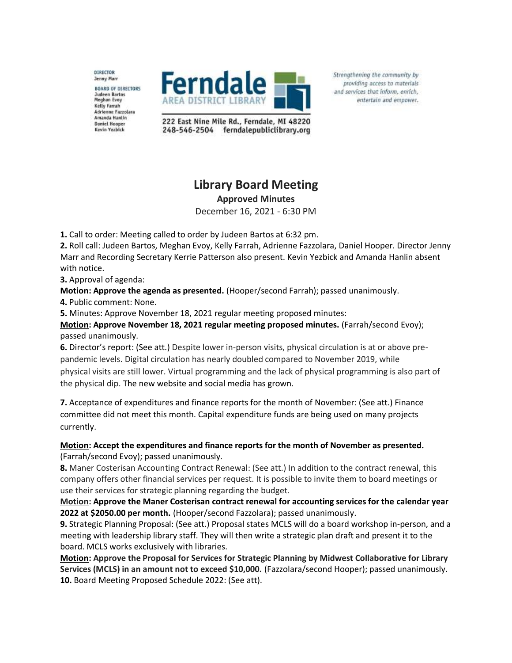DIRECTOR **Jenny Marr** 

**BOARD OF DIRECTORS** Judeen Bartos<br>Meghan Evoy Kelly Farrah **Adrienne Fazzolara** Amanda Hantin **Daniel Hooper** Kevin Yezbick



Strengthening the community by providing access to materials and services that inform, enrich, entertain and empower.

222 East Nine Mile Rd., Ferndale, MI 48220 248-546-2504 ferndalepubliclibrary.org

## **Library Board Meeting**

**Approved Minutes**

December 16, 2021 - 6:30 PM

**1.** Call to order: Meeting called to order by Judeen Bartos at 6:32 pm.

**2.** Roll call: Judeen Bartos, Meghan Evoy, Kelly Farrah, Adrienne Fazzolara, Daniel Hooper. Director Jenny Marr and Recording Secretary Kerrie Patterson also present. Kevin Yezbick and Amanda Hanlin absent with notice.

**3.** Approval of agenda:

**Motion: Approve the agenda as presented.** (Hooper/second Farrah); passed unanimously.

**4.** Public comment: None.

**5.** Minutes: Approve November 18, 2021 regular meeting proposed minutes:

**Motion: Approve November 18, 2021 regular meeting proposed minutes.** (Farrah/second Evoy); passed unanimously.

**6.** Director's report: (See att.) Despite lower in-person visits, physical circulation is at or above prepandemic levels. Digital circulation has nearly doubled compared to November 2019, while physical visits are still lower. Virtual programming and the lack of physical programming is also part of the physical dip. The new website and social media has grown.

**7.** Acceptance of expenditures and finance reports for the month of November: (See att.) Finance committee did not meet this month. Capital expenditure funds are being used on many projects currently.

**Motion: Accept the expenditures and finance reports for the month of November as presented.** (Farrah/second Evoy); passed unanimously.

**8.** Maner Costerisan Accounting Contract Renewal: (See att.) In addition to the contract renewal, this company offers other financial services per request. It is possible to invite them to board meetings or use their services for strategic planning regarding the budget.

**Motion: Approve the Maner Costerisan contract renewal for accounting services for the calendar year 2022 at \$2050.00 per month.** (Hooper/second Fazzolara); passed unanimously.

**9.** Strategic Planning Proposal: (See att.) Proposal states MCLS will do a board workshop in-person, and a meeting with leadership library staff. They will then write a strategic plan draft and present it to the board. MCLS works exclusively with libraries.

**Motion: Approve the Proposal for Services for Strategic Planning by Midwest Collaborative for Library Services (MCLS) in an amount not to exceed \$10,000.** (Fazzolara/second Hooper); passed unanimously. **10.** Board Meeting Proposed Schedule 2022: (See att).